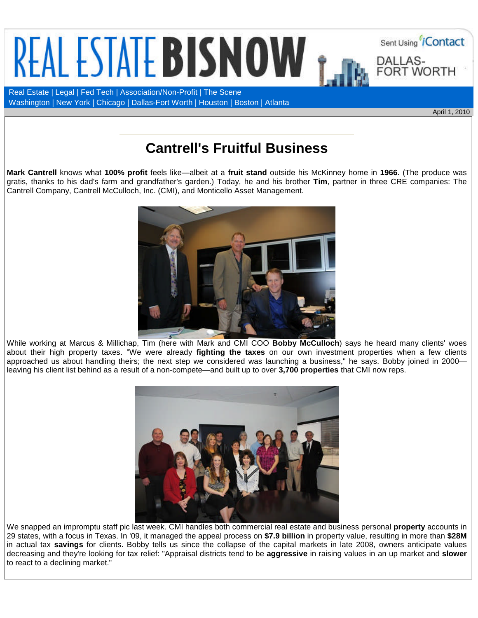

Washington | New York | Chicago | Dallas-Fort Worth | Houston | Boston | Atlanta

April 1, 2010

## **Cantrell's Fruitful Business**

**Mark Cantrell** knows what **100% profit** feels like—albeit at a **fruit stand** outside his McKinney home in **1966**. (The produce was gratis, thanks to his dad's farm and grandfather's garden.) Today, he and his brother **Tim**, partner in three CRE companies: The Cantrell Company, Cantrell McCulloch, Inc. (CMI), and Monticello Asset Management.



While working at Marcus & Millichap, Tim (here with Mark and CMI COO **Bobby McCulloch**) says he heard many clients' woes about their high property taxes. "We were already **fighting the taxes** on our own investment properties when a few clients approached us about handling theirs; the next step we considered was launching a business," he says. Bobby joined in 2000 leaving his client list behind as a result of a non-compete—and built up to over **3,700 properties** that CMI now reps.



We snapped an impromptu staff pic last week. CMI handles both commercial real estate and business personal **property** accounts in 29 states, with a focus in Texas. In '09, it managed the appeal process on **\$7.9 billion** in property value, resulting in more than **\$28M** in actual tax **savings** for clients. Bobby tells us since the collapse of the capital markets in late 2008, owners anticipate values decreasing and they're looking for tax relief: "Appraisal districts tend to be **aggressive** in raising values in an up market and **slower** to react to a declining market."